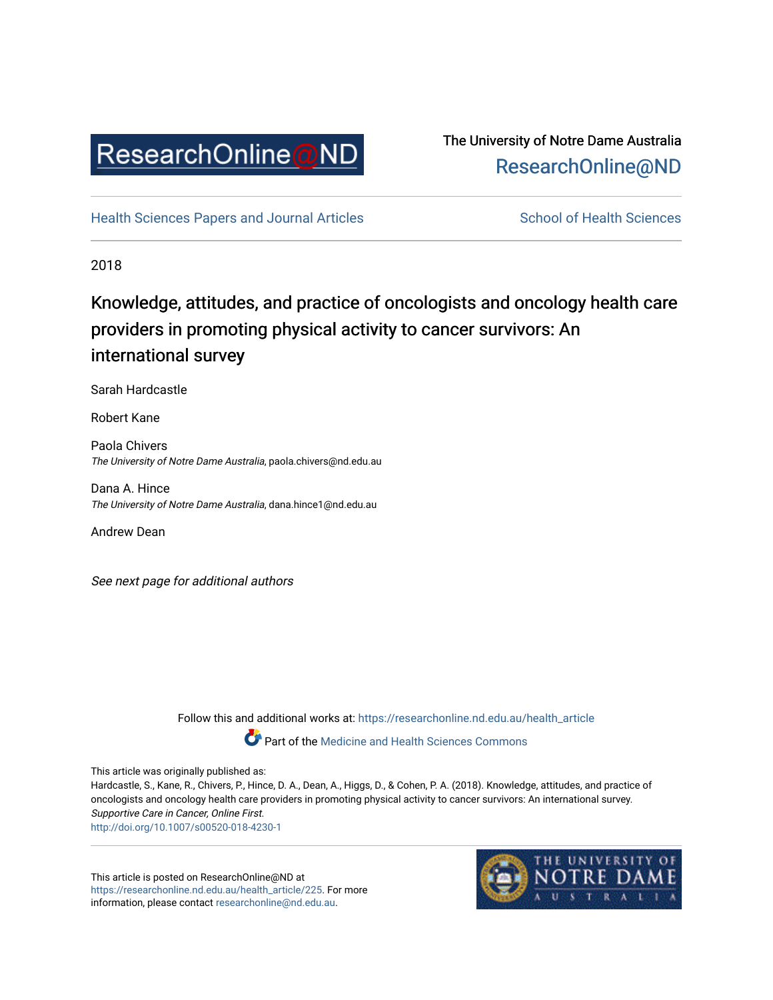

## The University of Notre Dame Australia [ResearchOnline@ND](https://researchonline.nd.edu.au/)

[Health Sciences Papers and Journal Articles](https://researchonline.nd.edu.au/health_article) School of Health Sciences

2018

## Knowledge, attitudes, and practice of oncologists and oncology health care providers in promoting physical activity to cancer survivors: An international survey

Sarah Hardcastle

Robert Kane

Paola Chivers The University of Notre Dame Australia, paola.chivers@nd.edu.au

Dana A. Hince The University of Notre Dame Australia, dana.hince1@nd.edu.au

Andrew Dean

See next page for additional authors

Follow this and additional works at: [https://researchonline.nd.edu.au/health\\_article](https://researchonline.nd.edu.au/health_article?utm_source=researchonline.nd.edu.au%2Fhealth_article%2F225&utm_medium=PDF&utm_campaign=PDFCoverPages)

Part of the [Medicine and Health Sciences Commons](http://network.bepress.com/hgg/discipline/648?utm_source=researchonline.nd.edu.au%2Fhealth_article%2F225&utm_medium=PDF&utm_campaign=PDFCoverPages)

This article was originally published as:

Hardcastle, S., Kane, R., Chivers, P., Hince, D. A., Dean, A., Higgs, D., & Cohen, P. A. (2018). Knowledge, attitudes, and practice of oncologists and oncology health care providers in promoting physical activity to cancer survivors: An international survey. Supportive Care in Cancer, Online First. <http://doi.org/10.1007/s00520-018-4230-1>

This article is posted on ResearchOnline@ND at [https://researchonline.nd.edu.au/health\\_article/225](https://researchonline.nd.edu.au/health_article/225). For more information, please contact [researchonline@nd.edu.au.](mailto:researchonline@nd.edu.au)

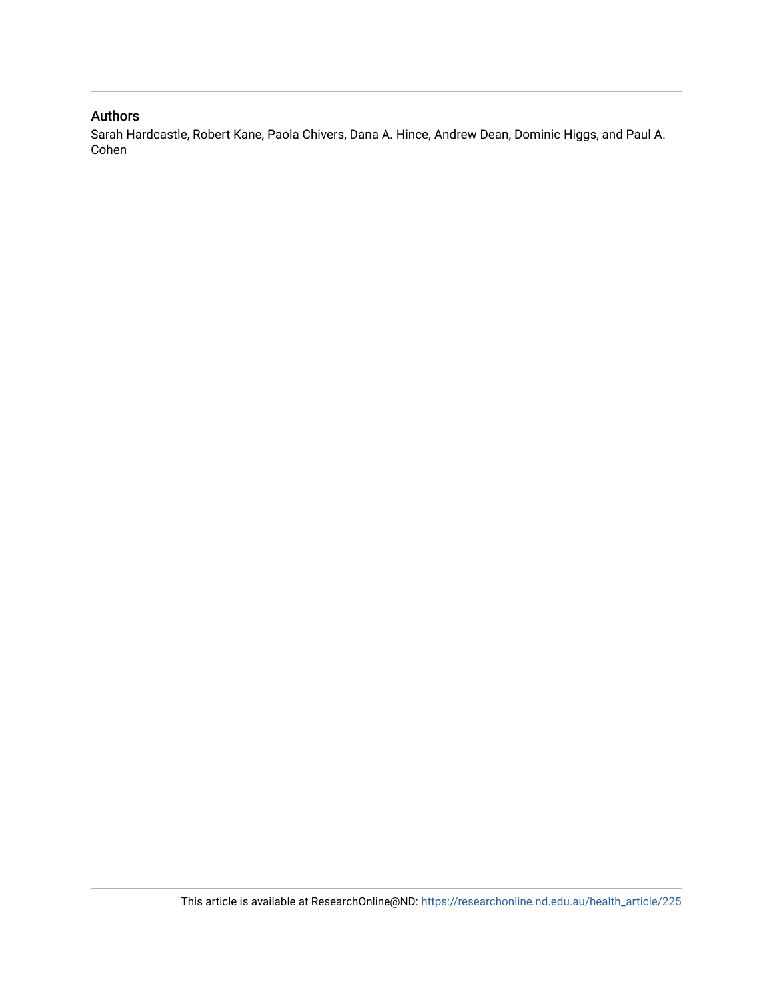#### Authors

Sarah Hardcastle, Robert Kane, Paola Chivers, Dana A. Hince, Andrew Dean, Dominic Higgs, and Paul A. Cohen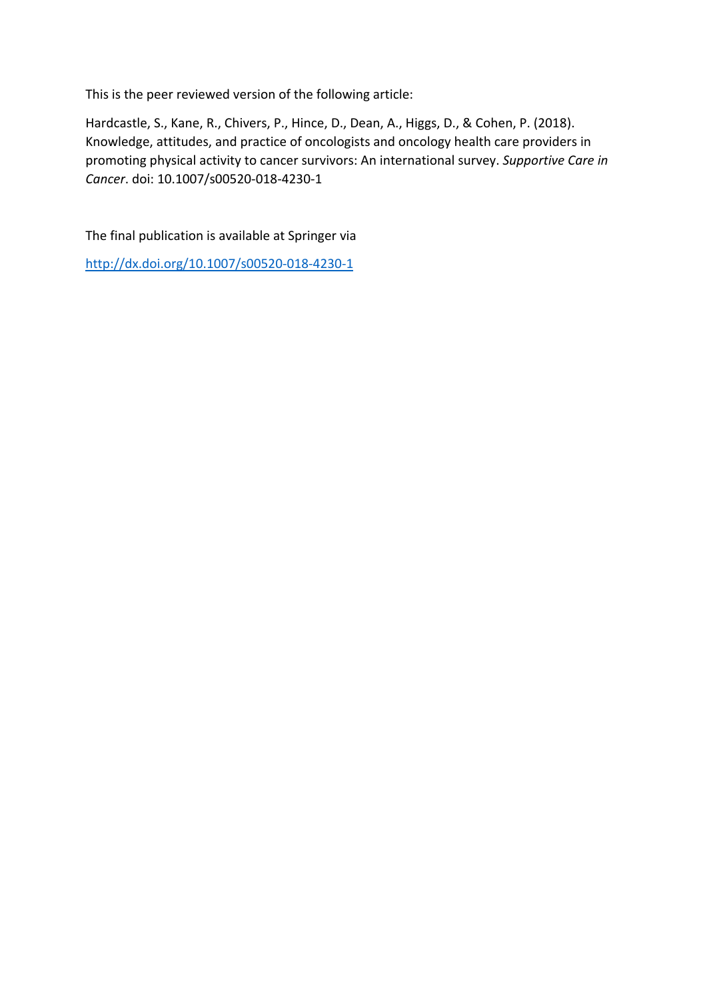This is the peer reviewed version of the following article:

Hardcastle, S., Kane, R., Chivers, P., Hince, D., Dean, A., Higgs, D., & Cohen, P. (2018). Knowledge, attitudes, and practice of oncologists and oncology health care providers in promoting physical activity to cancer survivors: An international survey. *Supportive Care in Cancer*. doi: 10.1007/s00520-018-4230-1

The final publication is available at Springer via

[http://dx.doi.org/10.1007/s00520-018-4230-1](http://dx.doi.org/10.1007/s10943-017-0519-5)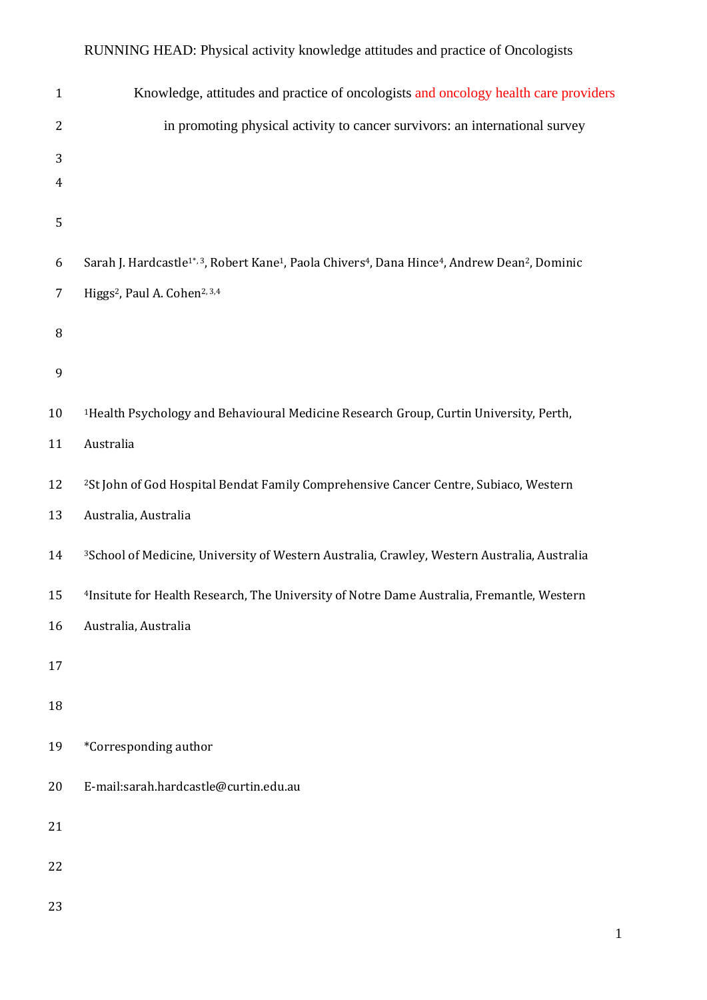# Knowledge, attitudes and practice of oncologists and oncology health care providers in promoting physical activity to cancer survivors: an international survey 6 Sarah J. Hardcastle<sup>1\*, 3</sup>, Robert Kane<sup>1</sup>, Paola Chivers<sup>4</sup>, Dana Hince<sup>4</sup>, Andrew Dean<sup>2</sup>, Dominic 7 Higgs<sup>2</sup>, Paul A. Cohen<sup>2, 3,4</sup> 1Health Psychology and Behavioural Medicine Research Group, Curtin University, Perth, Australia 12 <sup>2</sup>St John of God Hospital Bendat Family Comprehensive Cancer Centre, Subiaco, Western Australia, Australia 3School of Medicine, University of Western Australia, Crawley, Western Australia, Australia 15 <sup>4</sup> 4 1nsitute for Health Research, The University of Notre Dame Australia, Fremantle, Western Australia, Australia \*Corresponding author E-mail:sarah.hardcastle@curtin.edu.au

#### RUNNING HEAD: Physical activity knowledge attitudes and practice of Oncologists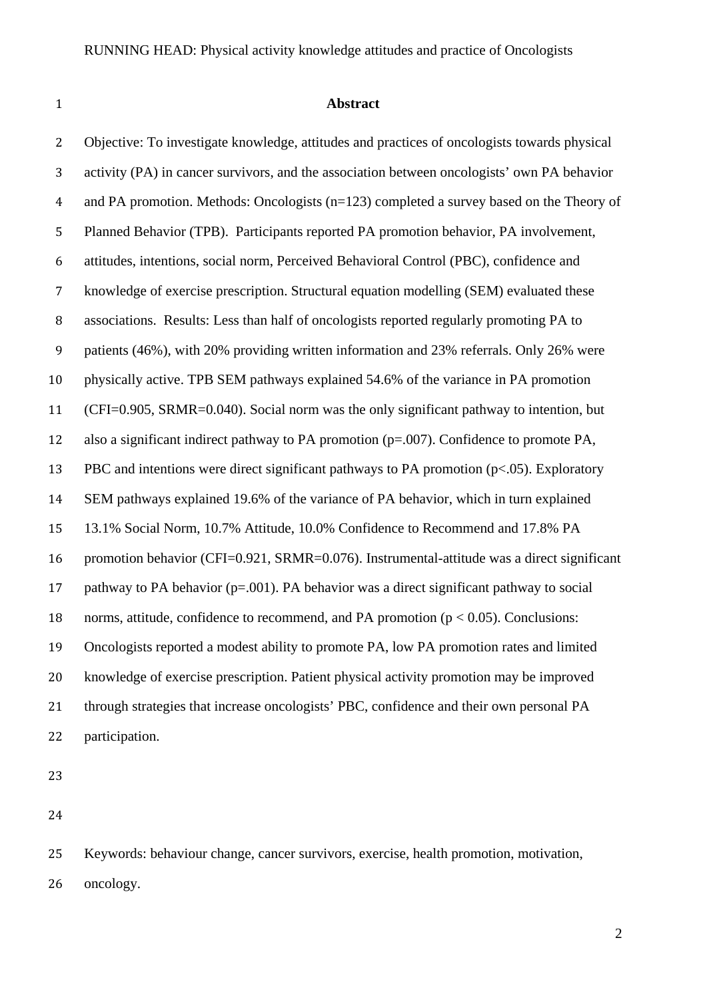#### **Abstract**

 Objective: To investigate knowledge, attitudes and practices of oncologists towards physical activity (PA) in cancer survivors, and the association between oncologists' own PA behavior and PA promotion. Methods: Oncologists (n=123) completed a survey based on the Theory of Planned Behavior (TPB). Participants reported PA promotion behavior, PA involvement, attitudes, intentions, social norm, Perceived Behavioral Control (PBC), confidence and knowledge of exercise prescription. Structural equation modelling (SEM) evaluated these associations. Results: Less than half of oncologists reported regularly promoting PA to patients (46%), with 20% providing written information and 23% referrals. Only 26% were physically active. TPB SEM pathways explained 54.6% of the variance in PA promotion (CFI=0.905, SRMR=0.040). Social norm was the only significant pathway to intention, but also a significant indirect pathway to PA promotion (p=.007). Confidence to promote PA, PBC and intentions were direct significant pathways to PA promotion (p<.05). Exploratory SEM pathways explained 19.6% of the variance of PA behavior, which in turn explained 13.1% Social Norm, 10.7% Attitude, 10.0% Confidence to Recommend and 17.8% PA promotion behavior (CFI=0.921, SRMR=0.076). Instrumental-attitude was a direct significant pathway to PA behavior (p=.001). PA behavior was a direct significant pathway to social 18 norms, attitude, confidence to recommend, and PA promotion ( $p < 0.05$ ). Conclusions: Oncologists reported a modest ability to promote PA, low PA promotion rates and limited knowledge of exercise prescription. Patient physical activity promotion may be improved through strategies that increase oncologists' PBC, confidence and their own personal PA participation.

 Keywords: behaviour change, cancer survivors, exercise, health promotion, motivation, oncology.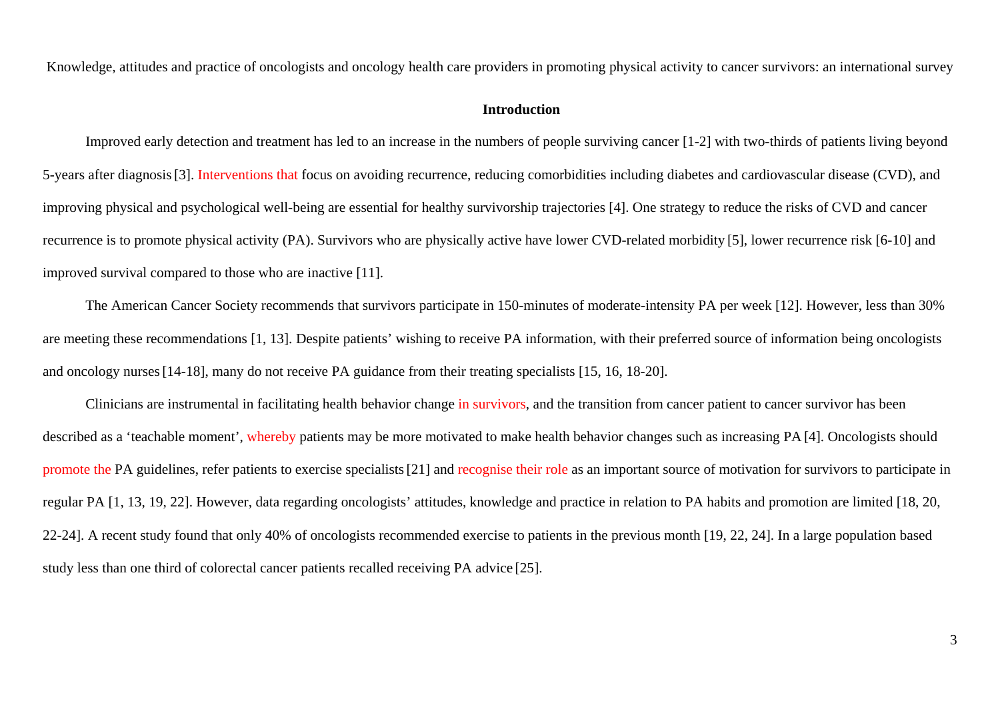Knowledge, attitudes and practice of oncologists and oncology health care providers in promoting physical activity to cancer survivors: an international survey

#### **Introduction**

Improved early detection and treatment has led to an increase in the numbers of people surviving cancer [1-2] with two-thirds of patients living beyond 5-years after diagnosis[3]. Interventions that focus on avoiding recurrence, reducing comorbidities including diabetes and cardiovascular disease (CVD), and improving physical and psychological well-being are essential for healthy survivorship trajectories [4]. One strategy to reduce the risks of CVD and cancer recurrence is to promote physical activity (PA). Survivors who are physically active have lower CVD-related morbidity [5], lower recurrence risk [6-10] and improved survival compared to those who are inactive [11].

The American Cancer Society recommends that survivors participate in 150-minutes of moderate-intensity PA per week [12]. However, less than 30% are meeting these recommendations [1, 13]. Despite patients' wishing to receive PA information, with their preferred source of information being oncologists and oncology nurses[14-18], many do not receive PA guidance from their treating specialists [15, 16, 18-20].

Clinicians are instrumental in facilitating health behavior change in survivors, and the transition from cancer patient to cancer survivor has been described as a 'teachable moment', whereby patients may be more motivated to make health behavior changes such as increasing PA [4]. Oncologists should promote the PA guidelines, refer patients to exercise specialists [21] and recognise their role as an important source of motivation for survivors to participate in regular PA [1, 13, 19, 22]. However, data regarding oncologists' attitudes, knowledge and practice in relation to PA habits and promotion are limited [18, 20, 22-24]. A recent study found that only 40% of oncologists recommended exercise to patients in the previous month [19, 22, 24]. In a large population based study less than one third of colorectal cancer patients recalled receiving PA advice [25].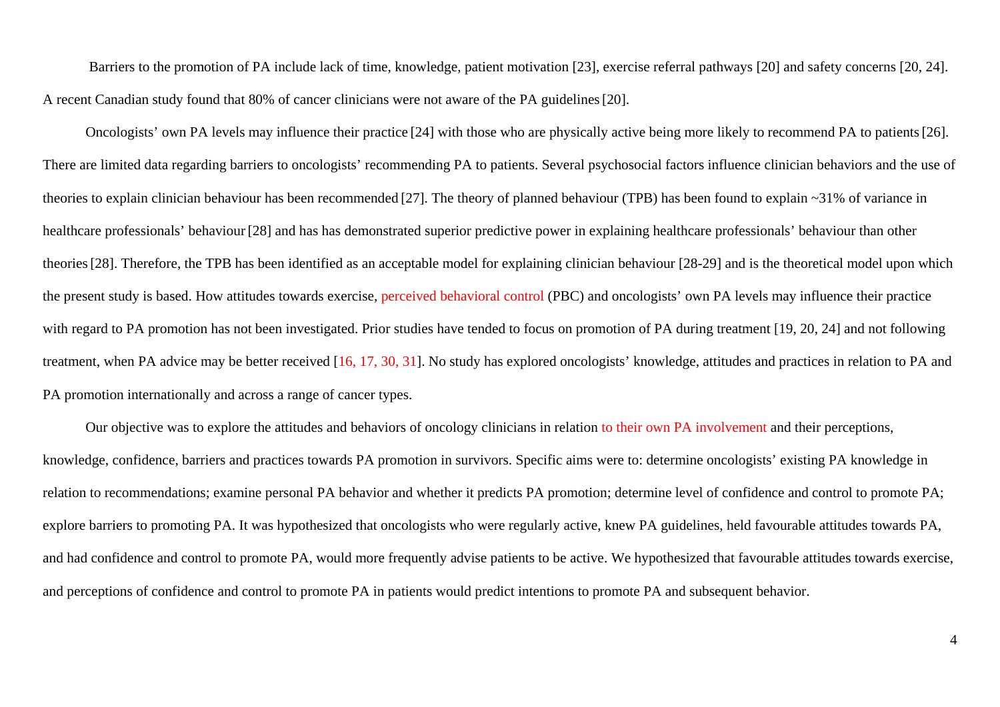Barriers to the promotion of PA include lack of time, knowledge, patient motivation [23], exercise referral pathways [20] and safety concerns [20, 24]. A recent Canadian study found that 80% of cancer clinicians were not aware of the PA guidelines[20].

Oncologists' own PA levels may influence their practice [24] with those who are physically active being more likely to recommend PA to patients[26]. There are limited data regarding barriers to oncologists' recommending PA to patients. Several psychosocial factors influence clinician behaviors and the use of theories to explain clinician behaviour has been recommended [27]. The theory of planned behaviour (TPB) has been found to explain ~31% of variance in healthcare professionals' behaviour [28] and has has demonstrated superior predictive power in explaining healthcare professionals' behaviour than other theories[28]. Therefore, the TPB has been identified as an acceptable model for explaining clinician behaviour [28-29] and is the theoretical model upon which the present study is based. How attitudes towards exercise, perceived behavioral control (PBC) and oncologists' own PA levels may influence their practice with regard to PA promotion has not been investigated. Prior studies have tended to focus on promotion of PA during treatment [19, 20, 24] and not following treatment, when PA advice may be better received [16, 17, 30, 31]. No study has explored oncologists' knowledge, attitudes and practices in relation to PA and PA promotion internationally and across a range of cancer types.

Our objective was to explore the attitudes and behaviors of oncology clinicians in relation to their own PA involvement and their perceptions, knowledge, confidence, barriers and practices towards PA promotion in survivors. Specific aims were to: determine oncologists' existing PA knowledge in relation to recommendations; examine personal PA behavior and whether it predicts PA promotion; determine level of confidence and control to promote PA; explore barriers to promoting PA. It was hypothesized that oncologists who were regularly active, knew PA guidelines, held favourable attitudes towards PA, and had confidence and control to promote PA, would more frequently advise patients to be active. We hypothesized that favourable attitudes towards exercise, and perceptions of confidence and control to promote PA in patients would predict intentions to promote PA and subsequent behavior.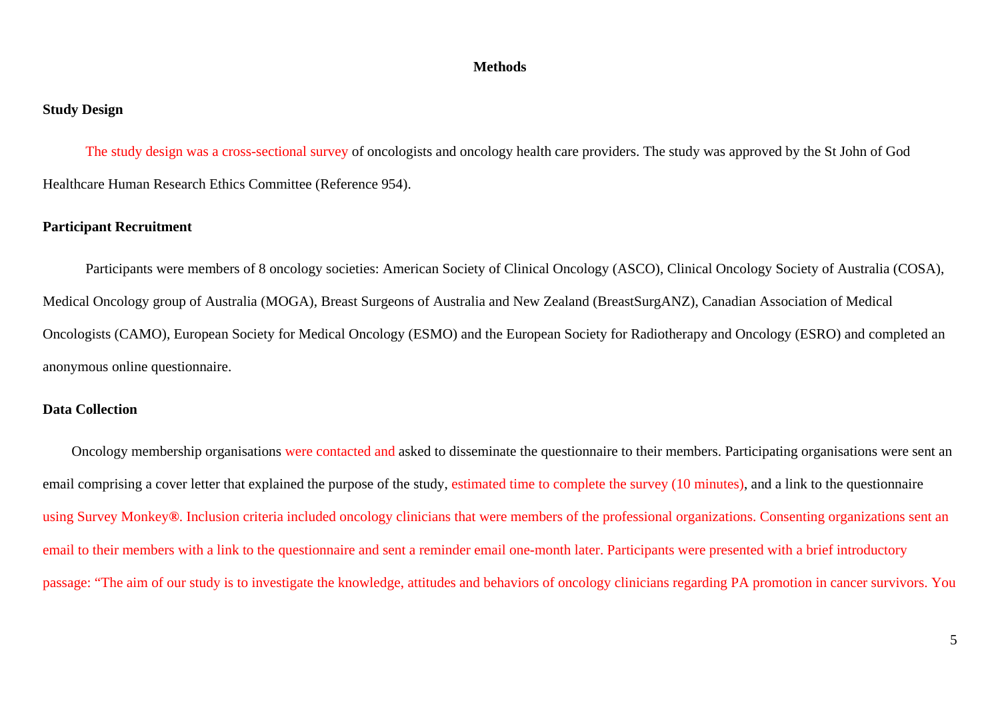#### **Methods**

#### **Study Design**

The study design was a cross-sectional survey of oncologists and oncology health care providers. The study was approved by the St John of God Healthcare Human Research Ethics Committee (Reference 954).

#### **Participant Recruitment**

Participants were members of 8 oncology societies: American Society of Clinical Oncology (ASCO), Clinical Oncology Society of Australia (COSA), Medical Oncology group of Australia (MOGA), Breast Surgeons of Australia and New Zealand (BreastSurgANZ), Canadian Association of Medical Oncologists (CAMO), European Society for Medical Oncology (ESMO) and the European Society for Radiotherapy and Oncology (ESRO) and completed an anonymous online questionnaire.

#### **Data Collection**

Oncology membership organisations were contacted and asked to disseminate the questionnaire to their members. Participating organisations were sent an email comprising a cover letter that explained the purpose of the study, estimated time to complete the survey (10 minutes), and a link to the questionnaire using Survey Monkey**®**. Inclusion criteria included oncology clinicians that were members of the professional organizations. Consenting organizations sent an email to their members with a link to the questionnaire and sent a reminder email one-month later. Participants were presented with a brief introductory passage: "The aim of our study is to investigate the knowledge, attitudes and behaviors of oncology clinicians regarding PA promotion in cancer survivors. You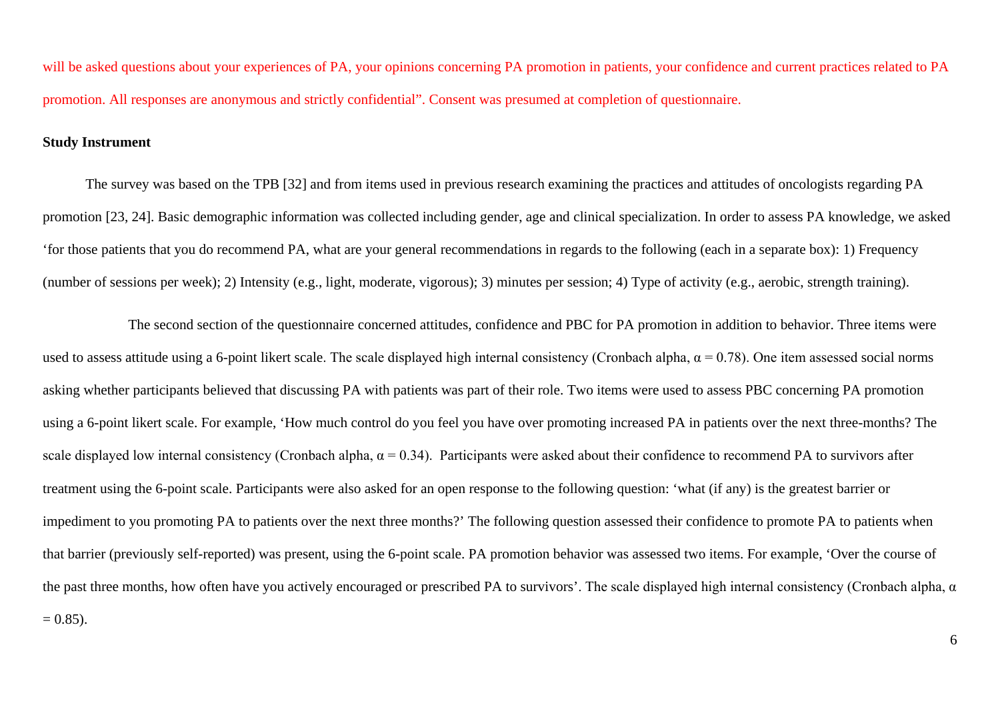will be asked questions about your experiences of PA, your opinions concerning PA promotion in patients, your confidence and current practices related to PA promotion. All responses are anonymous and strictly confidential". Consent was presumed at completion of questionnaire.

#### **Study Instrument**

The survey was based on the TPB [32] and from items used in previous research examining the practices and attitudes of oncologists regarding PA promotion [23, 24]. Basic demographic information was collected including gender, age and clinical specialization. In order to assess PA knowledge, we asked 'for those patients that you do recommend PA, what are your general recommendations in regards to the following (each in a separate box): 1) Frequency (number of sessions per week); 2) Intensity (e.g., light, moderate, vigorous); 3) minutes per session; 4) Type of activity (e.g., aerobic, strength training).

The second section of the questionnaire concerned attitudes, confidence and PBC for PA promotion in addition to behavior. Three items were used to assess attitude using a 6-point likert scale. The scale displayed high internal consistency (Cronbach alpha,  $\alpha = 0.78$ ). One item assessed social norms asking whether participants believed that discussing PA with patients was part of their role. Two items were used to assess PBC concerning PA promotion using a 6-point likert scale. For example, 'How much control do you feel you have over promoting increased PA in patients over the next three-months? The scale displayed low internal consistency (Cronbach alpha,  $\alpha = 0.34$ ). Participants were asked about their confidence to recommend PA to survivors after treatment using the 6-point scale. Participants were also asked for an open response to the following question: 'what (if any) is the greatest barrier or impediment to you promoting PA to patients over the next three months?' The following question assessed their confidence to promote PA to patients when that barrier (previously self-reported) was present, using the 6-point scale. PA promotion behavior was assessed two items. For example, 'Over the course of the past three months, how often have you actively encouraged or prescribed PA to survivors'. The scale displayed high internal consistency (Cronbach alpha,  $\alpha$  $= 0.85$ ).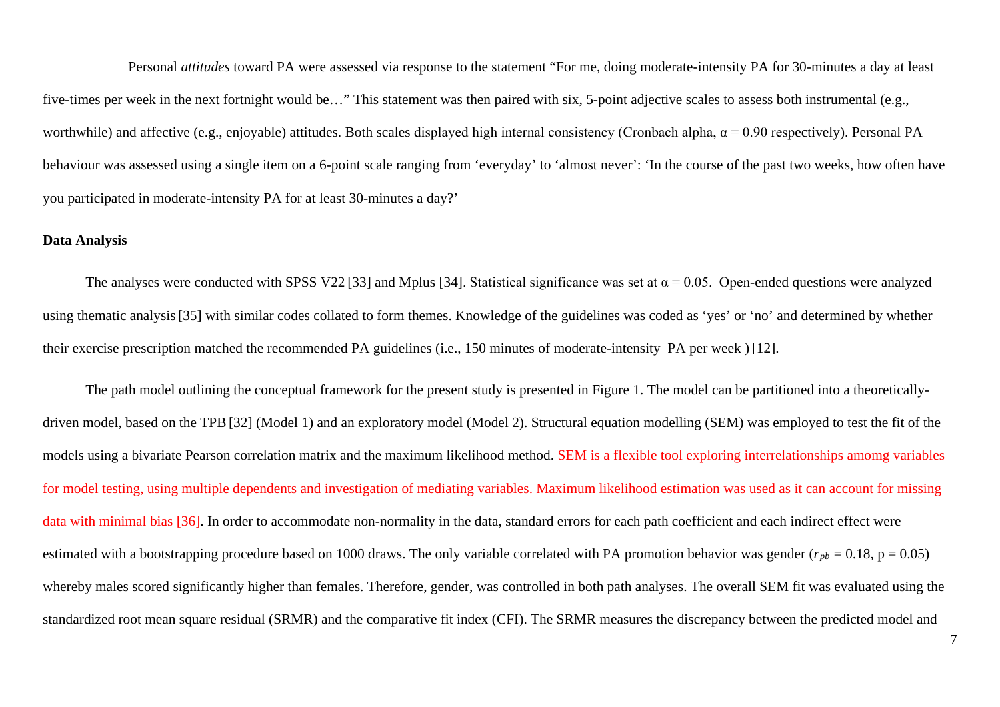Personal *attitudes* toward PA were assessed via response to the statement "For me, doing moderate-intensity PA for 30-minutes a day at least five-times per week in the next fortnight would be…" This statement was then paired with six, 5-point adjective scales to assess both instrumental (e.g., worthwhile) and affective (e.g., enjoyable) attitudes. Both scales displayed high internal consistency (Cronbach alpha,  $\alpha$  = 0.90 respectively). Personal PA behaviour was assessed using a single item on a 6-point scale ranging from 'everyday' to 'almost never': 'In the course of the past two weeks, how often have you participated in moderate-intensity PA for at least 30-minutes a day?'

#### **Data Analysis**

The analyses were conducted with SPSS V22 [33] and Mplus [34]. Statistical significance was set at  $\alpha = 0.05$ . Open-ended questions were analyzed using thematic analysis[35] with similar codes collated to form themes. Knowledge of the guidelines was coded as 'yes' or 'no' and determined by whether their exercise prescription matched the recommended PA guidelines (i.e., 150 minutes of moderate-intensity PA per week ) [12].

The path model outlining the conceptual framework for the present study is presented in Figure 1. The model can be partitioned into a theoreticallydriven model, based on the TPB[32] (Model 1) and an exploratory model (Model 2). Structural equation modelling (SEM) was employed to test the fit of the models using a bivariate Pearson correlation matrix and the maximum likelihood method. SEM is a flexible tool exploring interrelationships amomg variables for model testing, using multiple dependents and investigation of mediating variables. Maximum likelihood estimation was used as it can account for missing data with minimal bias [36]. In order to accommodate non-normality in the data, standard errors for each path coefficient and each indirect effect were estimated with a bootstrapping procedure based on 1000 draws. The only variable correlated with PA promotion behavior was gender ( $r_{pb} = 0.18$ , p = 0.05) whereby males scored significantly higher than females. Therefore, gender, was controlled in both path analyses. The overall SEM fit was evaluated using the standardized root mean square residual (SRMR) and the comparative fit index (CFI). The SRMR measures the discrepancy between the predicted model and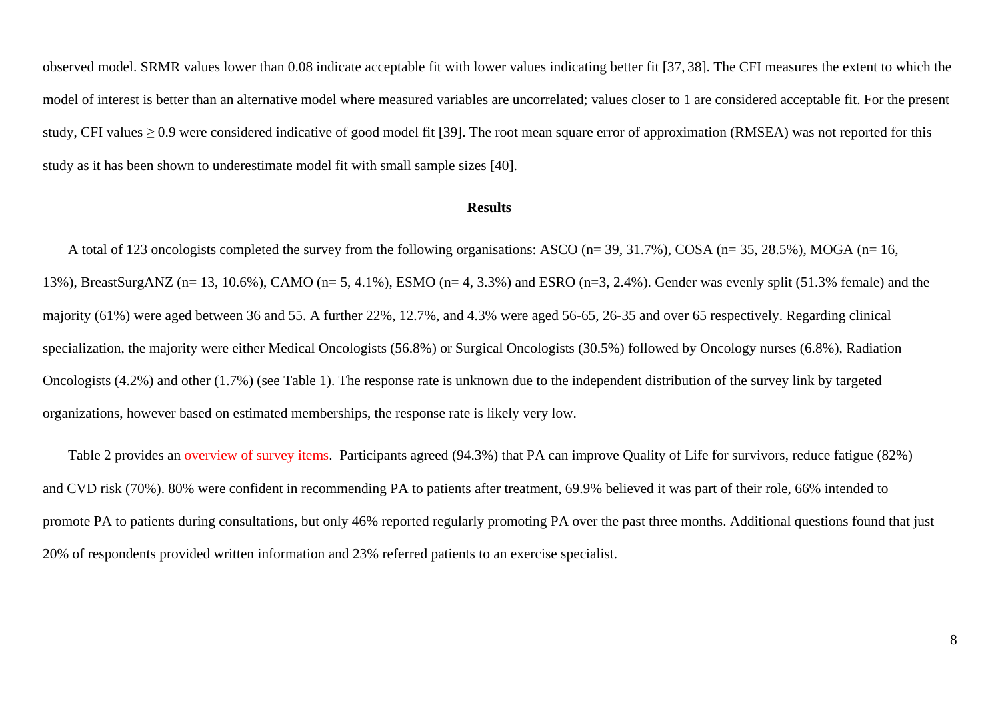observed model. SRMR values lower than 0.08 indicate acceptable fit with lower values indicating better fit [37, 38]. The CFI measures the extent to which the model of interest is better than an alternative model where measured variables are uncorrelated; values closer to 1 are considered acceptable fit. For the present study, CFI values > 0.9 were considered indicative of good model fit [39]. The root mean square error of approximation (RMSEA) was not reported for this study as it has been shown to underestimate model fit with small sample sizes [40].

#### **Results**

A total of 123 oncologists completed the survey from the following organisations: ASCO (n= 39, 31.7%), COSA (n= 35, 28.5%), MOGA (n= 16, 13%), BreastSurgANZ (n= 13, 10.6%), CAMO (n= 5, 4.1%), ESMO (n= 4, 3.3%) and ESRO (n=3, 2.4%). Gender was evenly split (51.3% female) and the majority (61%) were aged between 36 and 55. A further 22%, 12.7%, and 4.3% were aged 56-65, 26-35 and over 65 respectively. Regarding clinical specialization, the majority were either Medical Oncologists (56.8%) or Surgical Oncologists (30.5%) followed by Oncology nurses (6.8%), Radiation Oncologists (4.2%) and other (1.7%) (see Table 1). The response rate is unknown due to the independent distribution of the survey link by targeted organizations, however based on estimated memberships, the response rate is likely very low.

Table 2 provides an overview of survey items. Participants agreed (94.3%) that PA can improve Quality of Life for survivors, reduce fatigue (82%) and CVD risk (70%). 80% were confident in recommending PA to patients after treatment, 69.9% believed it was part of their role, 66% intended to promote PA to patients during consultations, but only 46% reported regularly promoting PA over the past three months. Additional questions found that just 20% of respondents provided written information and 23% referred patients to an exercise specialist.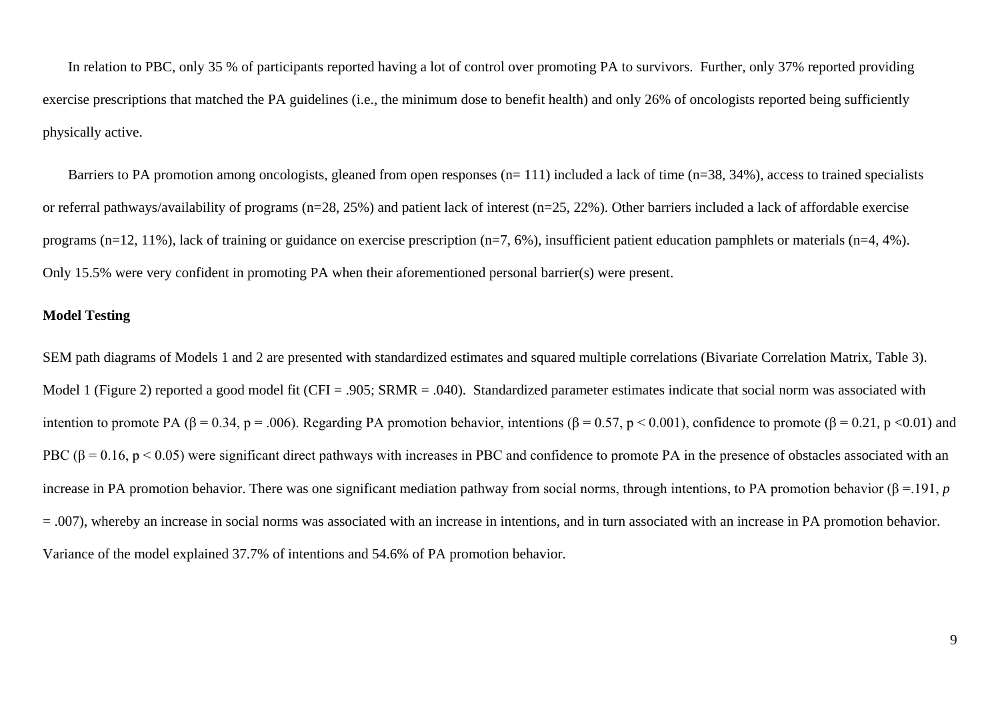In relation to PBC, only 35 % of participants reported having a lot of control over promoting PA to survivors. Further, only 37% reported providing exercise prescriptions that matched the PA guidelines (i.e., the minimum dose to benefit health) and only 26% of oncologists reported being sufficiently physically active.

Barriers to PA promotion among oncologists, gleaned from open responses (n= 111) included a lack of time (n=38, 34%), access to trained specialists or referral pathways/availability of programs (n=28, 25%) and patient lack of interest (n=25, 22%). Other barriers included a lack of affordable exercise programs (n=12, 11%), lack of training or guidance on exercise prescription (n=7, 6%), insufficient patient education pamphlets or materials (n=4, 4%). Only 15.5% were very confident in promoting PA when their aforementioned personal barrier(s) were present.

#### **Model Testing**

SEM path diagrams of Models 1 and 2 are presented with standardized estimates and squared multiple correlations (Bivariate Correlation Matrix, Table 3). Model 1 (Figure 2) reported a good model fit (CFI = .905; SRMR = .040). Standardized parameter estimates indicate that social norm was associated with intention to promote PA (β = 0.34, p = .006). Regarding PA promotion behavior, intentions (β = 0.57, p < 0.001), confidence to promote (β = 0.21, p < 0.01) and PBC (β = 0.16, p < 0.05) were significant direct pathways with increases in PBC and confidence to promote PA in the presence of obstacles associated with an increase in PA promotion behavior. There was one significant mediation pathway from social norms, through intentions, to PA promotion behavior ( $\beta$  = 191, *p*  $= 0.007$ , whereby an increase in social norms was associated with an increase in intentions, and in turn associated with an increase in PA promotion behavior. Variance of the model explained 37.7% of intentions and 54.6% of PA promotion behavior.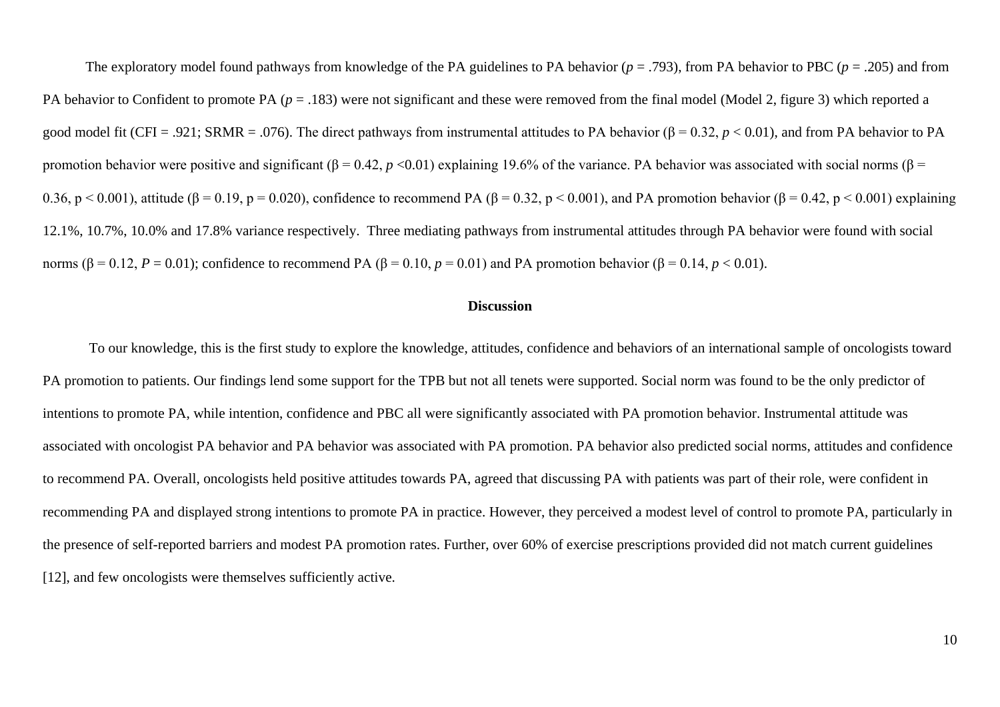The exploratory model found pathways from knowledge of the PA guidelines to PA behavior (*p* = .793), from PA behavior to PBC (*p* = .205) and from PA behavior to Confident to promote PA ( $p = .183$ ) were not significant and these were removed from the final model (Model 2, figure 3) which reported a good model fit (CFI = .921; SRMR = .076). The direct pathways from instrumental attitudes to PA behavior (β = 0.32,  $p < 0.01$ ), and from PA behavior to PA promotion behavior were positive and significant (β = 0.42,  $p$  <0.01) explaining 19.6% of the variance. PA behavior was associated with social norms (β = 0.36, p < 0.001), attitude ( $\beta$  = 0.19, p = 0.020), confidence to recommend PA ( $\beta$  = 0.32, p < 0.001), and PA promotion behavior ( $\beta$  = 0.42, p < 0.001) explaining 12.1%, 10.7%, 10.0% and 17.8% variance respectively. Three mediating pathways from instrumental attitudes through PA behavior were found with social norms (β = 0.12, *P* = 0.01); confidence to recommend PA (β = 0.10, *p* = 0.01) and PA promotion behavior (β = 0.14, *p* < 0.01).

#### **Discussion**

To our knowledge, this is the first study to explore the knowledge, attitudes, confidence and behaviors of an international sample of oncologists toward PA promotion to patients. Our findings lend some support for the TPB but not all tenets were supported. Social norm was found to be the only predictor of intentions to promote PA, while intention, confidence and PBC all were significantly associated with PA promotion behavior. Instrumental attitude was associated with oncologist PA behavior and PA behavior was associated with PA promotion. PA behavior also predicted social norms, attitudes and confidence to recommend PA. Overall, oncologists held positive attitudes towards PA, agreed that discussing PA with patients was part of their role, were confident in recommending PA and displayed strong intentions to promote PA in practice. However, they perceived a modest level of control to promote PA, particularly in the presence of self-reported barriers and modest PA promotion rates. Further, over 60% of exercise prescriptions provided did not match current guidelines [12], and few oncologists were themselves sufficiently active.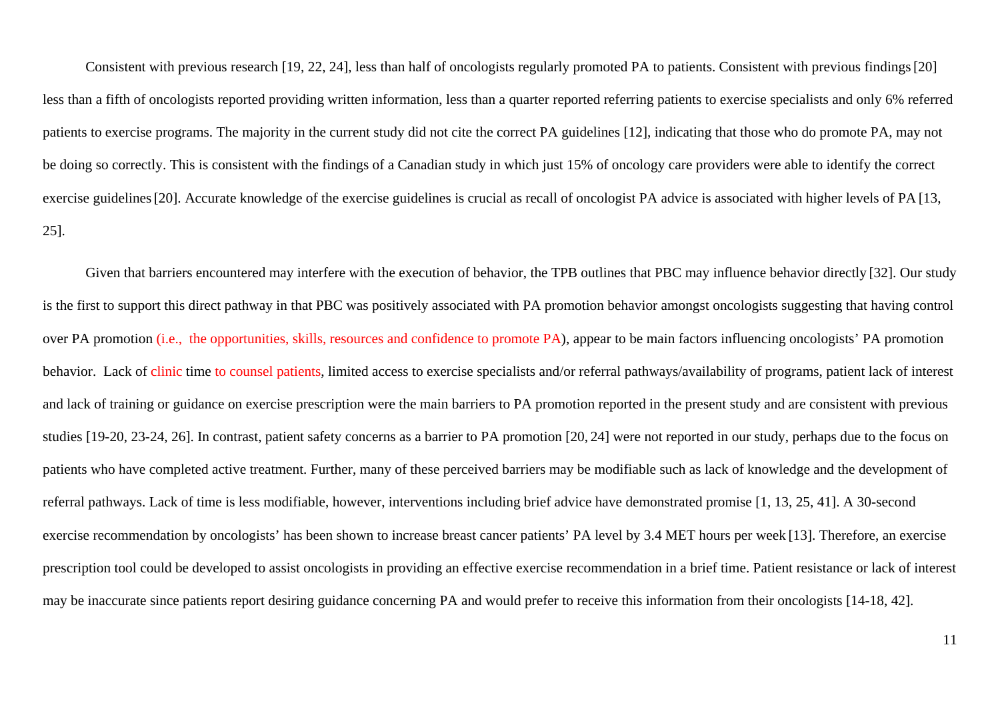Consistent with previous research [19, 22, 24], less than half of oncologists regularly promoted PA to patients. Consistent with previous findings[20] less than a fifth of oncologists reported providing written information, less than a quarter reported referring patients to exercise specialists and only 6% referred patients to exercise programs. The majority in the current study did not cite the correct PA guidelines [12], indicating that those who do promote PA, may not be doing so correctly. This is consistent with the findings of a Canadian study in which just 15% of oncology care providers were able to identify the correct exercise guidelines [20]. Accurate knowledge of the exercise guidelines is crucial as recall of oncologist PA advice is associated with higher levels of PA [13, 25].

Given that barriers encountered may interfere with the execution of behavior, the TPB outlines that PBC may influence behavior directly [32]. Our study is the first to support this direct pathway in that PBC was positively associated with PA promotion behavior amongst oncologists suggesting that having control over PA promotion (i.e., the opportunities, skills, resources and confidence to promote PA), appear to be main factors influencing oncologists' PA promotion behavior. Lack of clinic time to counsel patients, limited access to exercise specialists and/or referral pathways/availability of programs, patient lack of interest and lack of training or guidance on exercise prescription were the main barriers to PA promotion reported in the present study and are consistent with previous studies [19-20, 23-24, 26]. In contrast, patient safety concerns as a barrier to PA promotion [20, 24] were not reported in our study, perhaps due to the focus on patients who have completed active treatment. Further, many of these perceived barriers may be modifiable such as lack of knowledge and the development of referral pathways. Lack of time is less modifiable, however, interventions including brief advice have demonstrated promise [1, 13, 25, 41]. A 30-second exercise recommendation by oncologists' has been shown to increase breast cancer patients' PA level by 3.4 MET hours per week [13]. Therefore, an exercise prescription tool could be developed to assist oncologists in providing an effective exercise recommendation in a brief time. Patient resistance or lack of interest may be inaccurate since patients report desiring guidance concerning PA and would prefer to receive this information from their oncologists [14-18, 42].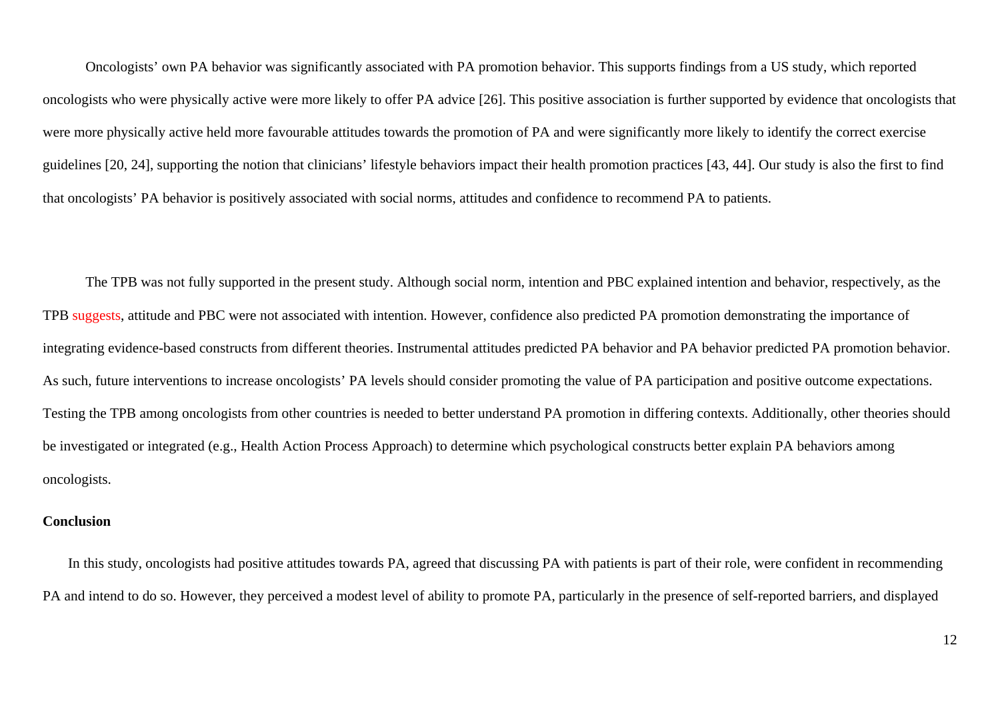Oncologists' own PA behavior was significantly associated with PA promotion behavior. This supports findings from a US study, which reported oncologists who were physically active were more likely to offer PA advice [26]. This positive association is further supported by evidence that oncologists that were more physically active held more favourable attitudes towards the promotion of PA and were significantly more likely to identify the correct exercise guidelines [20, 24], supporting the notion that clinicians' lifestyle behaviors impact their health promotion practices [43, 44]. Our study is also the first to find that oncologists' PA behavior is positively associated with social norms, attitudes and confidence to recommend PA to patients.

The TPB was not fully supported in the present study. Although social norm, intention and PBC explained intention and behavior, respectively, as the TPB suggests, attitude and PBC were not associated with intention. However, confidence also predicted PA promotion demonstrating the importance of integrating evidence-based constructs from different theories. Instrumental attitudes predicted PA behavior and PA behavior predicted PA promotion behavior. As such, future interventions to increase oncologists' PA levels should consider promoting the value of PA participation and positive outcome expectations. Testing the TPB among oncologists from other countries is needed to better understand PA promotion in differing contexts. Additionally, other theories should be investigated or integrated (e.g., Health Action Process Approach) to determine which psychological constructs better explain PA behaviors among oncologists.

#### **Conclusion**

In this study, oncologists had positive attitudes towards PA, agreed that discussing PA with patients is part of their role, were confident in recommending PA and intend to do so. However, they perceived a modest level of ability to promote PA, particularly in the presence of self-reported barriers, and displayed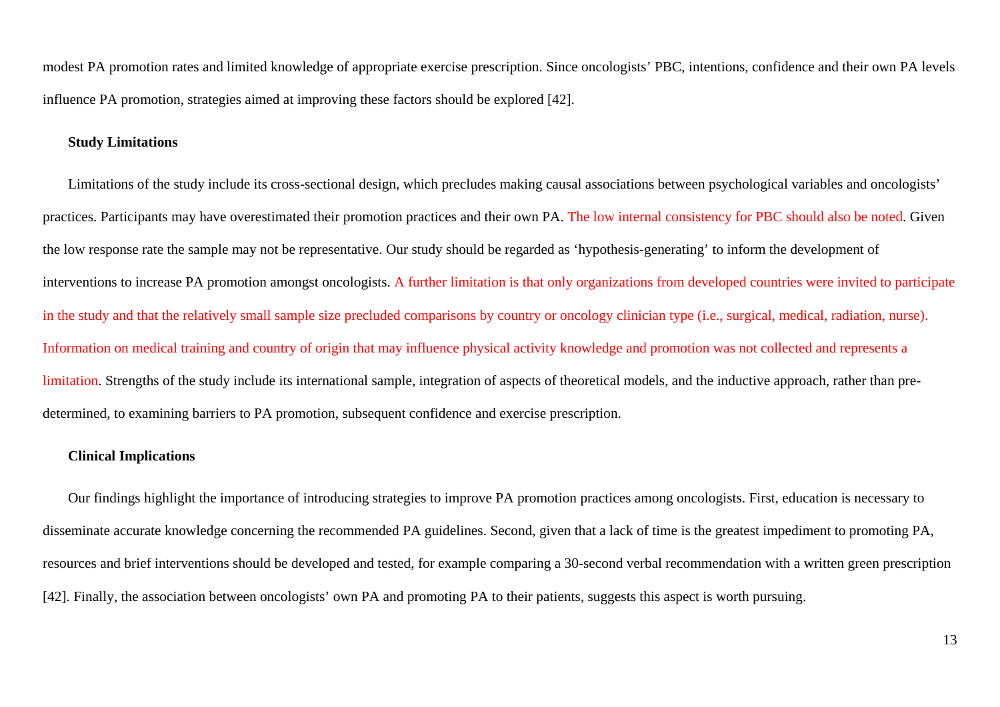modest PA promotion rates and limited knowledge of appropriate exercise prescription. Since oncologists' PBC, intentions, confidence and their own PA levels influence PA promotion, strategies aimed at improving these factors should be explored [42].

#### **Study Limitations**

Limitations of the study include its cross-sectional design, which precludes making causal associations between psychological variables and oncologists' practices. Participants may have overestimated their promotion practices and their own PA. The low internal consistency for PBC should also be noted. Given the low response rate the sample may not be representative. Our study should be regarded as 'hypothesis-generating' to inform the development of interventions to increase PA promotion amongst oncologists. A further limitation is that only organizations from developed countries were invited to participate in the study and that the relatively small sample size precluded comparisons by country or oncology clinician type (i.e., surgical, medical, radiation, nurse). Information on medical training and country of origin that may influence physical activity knowledge and promotion was not collected and represents a limitation. Strengths of the study include its international sample, integration of aspects of theoretical models, and the inductive approach, rather than predetermined, to examining barriers to PA promotion, subsequent confidence and exercise prescription.

#### **Clinical Implications**

Our findings highlight the importance of introducing strategies to improve PA promotion practices among oncologists. First, education is necessary to disseminate accurate knowledge concerning the recommended PA guidelines. Second, given that a lack of time is the greatest impediment to promoting PA, resources and brief interventions should be developed and tested, for example comparing a 30-second verbal recommendation with a written green prescription [42]. Finally, the association between oncologists' own PA and promoting PA to their patients, suggests this aspect is worth pursuing.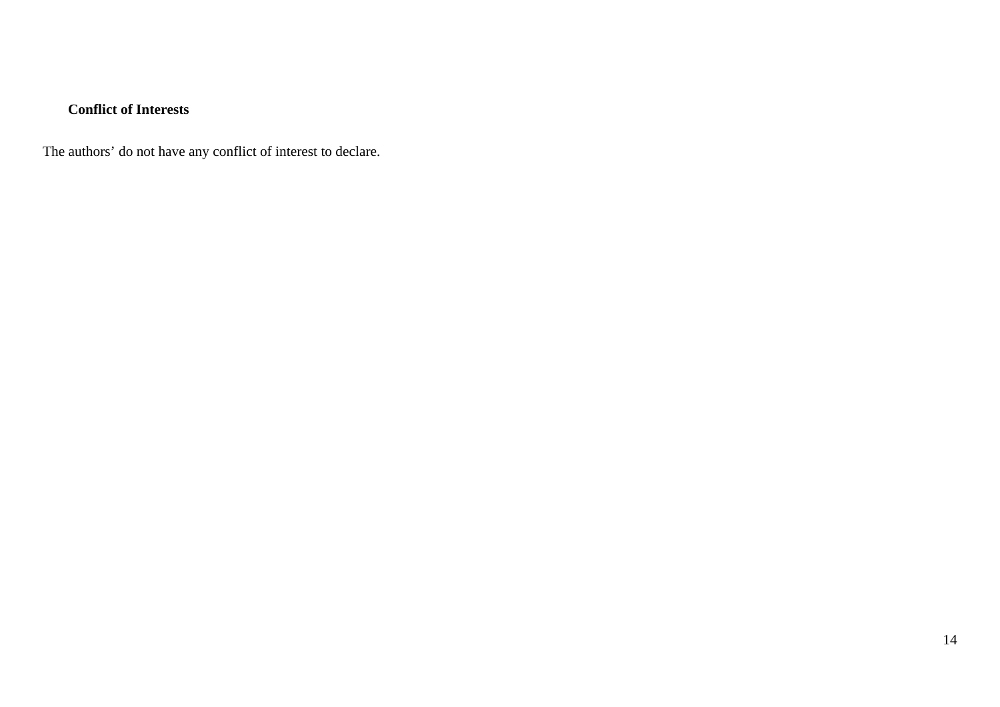### **Conflict of Interests**

The authors' do not have any conflict of interest to declare.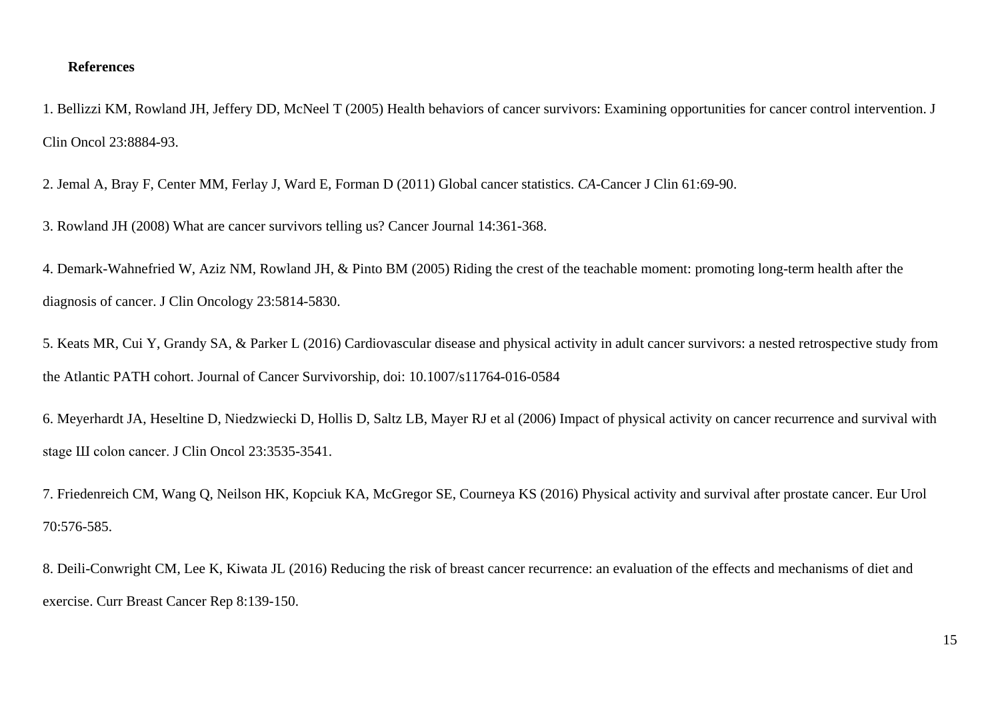#### **References**

1. Bellizzi KM, Rowland JH, Jeffery DD, McNeel T (2005) Health behaviors of cancer survivors: Examining opportunities for cancer control intervention. J Clin Oncol 23:8884-93.

2. Jemal A, Bray F, Center MM, Ferlay J, Ward E, Forman D (2011) Global cancer statistics. *CA-*Cancer J Clin 61:69-90.

3. Rowland JH (2008) What are cancer survivors telling us? Cancer Journal 14:361-368.

4. Demark-Wahnefried W, Aziz NM, Rowland JH, & Pinto BM (2005) Riding the crest of the teachable moment: promoting long-term health after the diagnosis of cancer. J Clin Oncology 23:5814-5830.

5. Keats MR, Cui Y, Grandy SA, & Parker L (2016) Cardiovascular disease and physical activity in adult cancer survivors: a nested retrospective study from the Atlantic PATH cohort. Journal of Cancer Survivorship, doi: 10.1007/s11764-016-0584

6. Meyerhardt JA, Heseltine D, Niedzwiecki D, Hollis D, Saltz LB, Mayer RJ et al (2006) Impact of physical activity on cancer recurrence and survival with stage Ш colon cancer. J Clin Oncol 23:3535-3541.

7. Friedenreich CM, Wang Q, Neilson HK, Kopciuk KA, McGregor SE, Courneya KS (2016) Physical activity and survival after prostate cancer. Eur Urol 70:576-585.

8. Deili-Conwright CM, Lee K, Kiwata JL (2016) Reducing the risk of breast cancer recurrence: an evaluation of the effects and mechanisms of diet and exercise. Curr Breast Cancer Rep 8:139-150.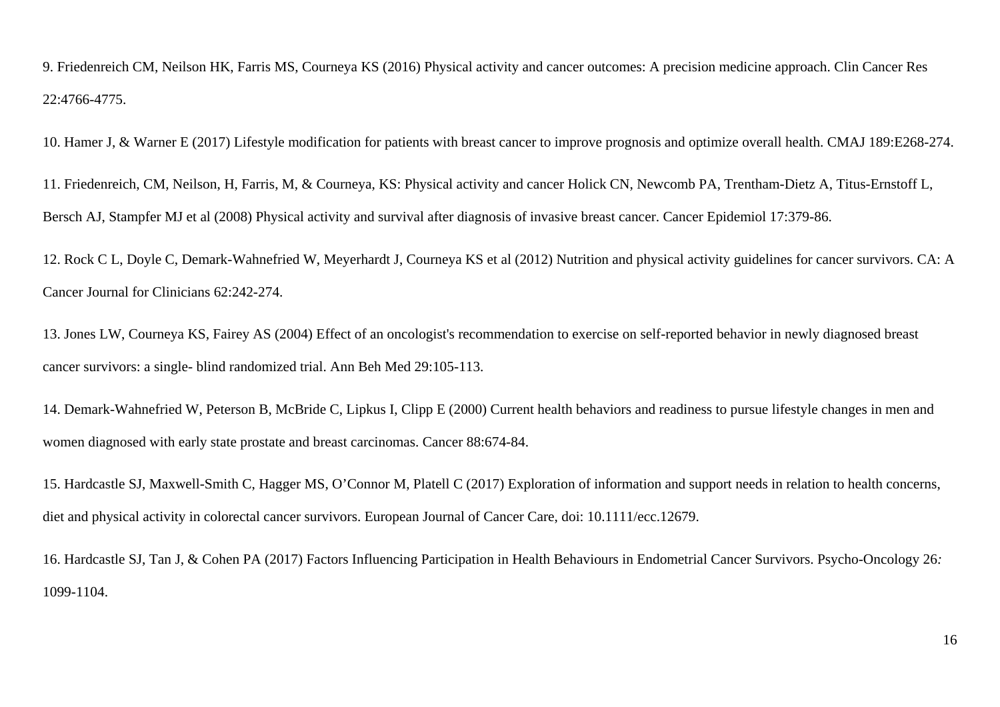9. Friedenreich CM, Neilson HK, Farris MS, Courneya KS (2016) Physical activity and cancer outcomes: A precision medicine approach. Clin Cancer Res 22:4766-4775.

10. Hamer J, & Warner E (2017) Lifestyle modification for patients with breast cancer to improve prognosis and optimize overall health. CMAJ 189:E268-274.

11. Friedenreich, CM, Neilson, H, Farris, M, & Courneya, KS: Physical activity and cancer Holick CN, Newcomb PA, Trentham-Dietz A, Titus-Ernstoff L, Bersch AJ, Stampfer MJ et al (2008) Physical activity and survival after diagnosis of invasive breast cancer. Cancer Epidemiol 17:379-86.

12. Rock C L, Doyle C, Demark-Wahnefried W, Meyerhardt J, Courneya KS et al (2012) Nutrition and physical activity guidelines for cancer survivors. CA: A Cancer Journal for Clinicians 62:242-274.

13. Jones LW, Courneya KS, Fairey AS (2004) Effect of an oncologist's recommendation to exercise on self-reported behavior in newly diagnosed breast cancer survivors: a single- blind randomized trial. Ann Beh Med 29:105-113.

14. Demark-Wahnefried W, Peterson B, McBride C, Lipkus I, Clipp E (2000) Current health behaviors and readiness to pursue lifestyle changes in men and women diagnosed with early state prostate and breast carcinomas. Cancer 88:674-84.

15. Hardcastle SJ, Maxwell-Smith C, Hagger MS, O'Connor M, Platell C (2017) Exploration of information and support needs in relation to health concerns, diet and physical activity in colorectal cancer survivors. European Journal of Cancer Care, doi: 10.1111/ecc.12679.

16. Hardcastle SJ, Tan J, & Cohen PA (2017) Factors Influencing Participation in Health Behaviours in Endometrial Cancer Survivors. Psycho-Oncology 26*:* 1099-1104.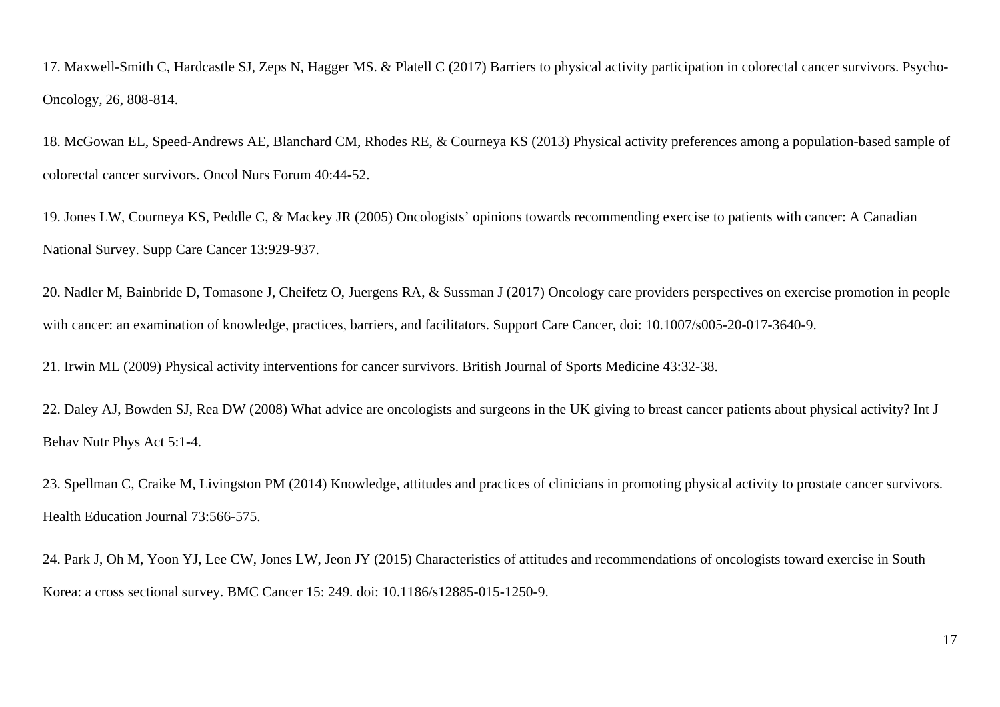17. Maxwell-Smith C, Hardcastle SJ, Zeps N, Hagger MS. & Platell C (2017) Barriers to physical activity participation in colorectal cancer survivors. Psycho-Oncology*,* 26, 808-814.

18. McGowan EL, Speed-Andrews AE, Blanchard CM, Rhodes RE, & Courneya KS (2013) Physical activity preferences among a population-based sample of colorectal cancer survivors. Oncol Nurs Forum 40:44-52.

19. Jones LW, Courneya KS, Peddle C, & Mackey JR (2005) Oncologists' opinions towards recommending exercise to patients with cancer: A Canadian National Survey. Supp Care Cancer 13:929-937.

20. Nadler M, Bainbride D, Tomasone J, Cheifetz O, Juergens RA, & Sussman J (2017) Oncology care providers perspectives on exercise promotion in people with cancer: an examination of knowledge, practices, barriers, and facilitators. Support Care Cancer, doi: 10.1007/s005-20-017-3640-9.

21. Irwin ML (2009) Physical activity interventions for cancer survivors. British Journal of Sports Medicine 43:32-38.

22. Daley AJ, Bowden SJ, Rea DW (2008) What advice are oncologists and surgeons in the UK giving to breast cancer patients about physical activity? Int J Behav Nutr Phys Act 5:1-4.

23. Spellman C, Craike M, Livingston PM (2014) Knowledge, attitudes and practices of clinicians in promoting physical activity to prostate cancer survivors. Health Education Journal 73:566-575.

24. Park J, Oh M, Yoon YJ, Lee CW, Jones LW, Jeon JY (2015) Characteristics of attitudes and recommendations of oncologists toward exercise in South Korea: a cross sectional survey. BMC Cancer 15: 249. doi: 10.1186/s12885-015-1250-9.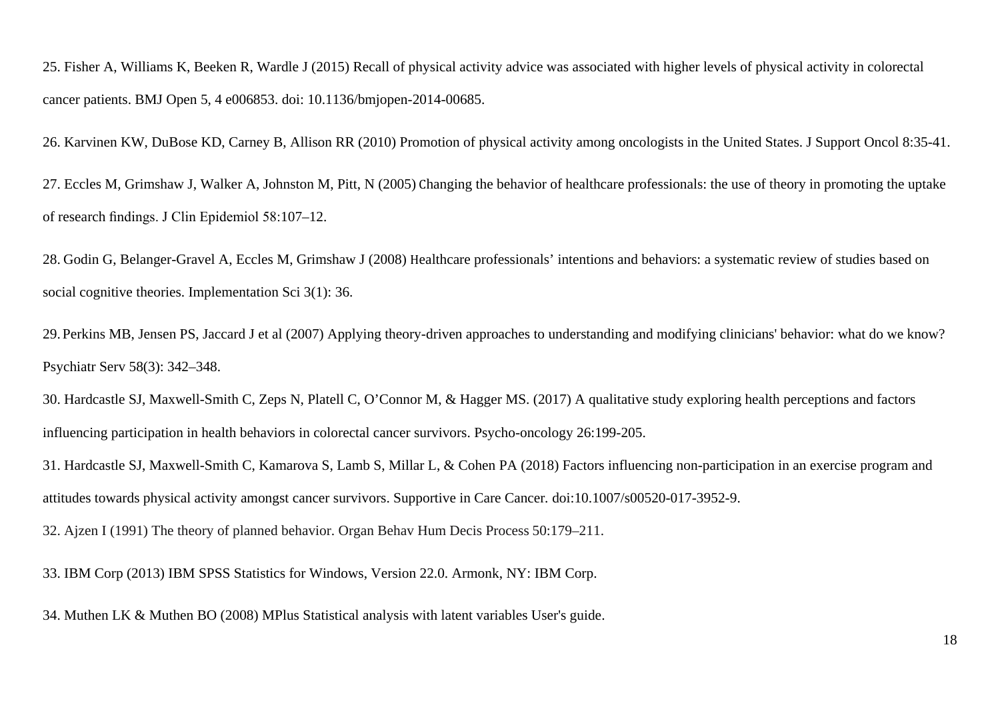25. Fisher A, Williams K, Beeken R, Wardle J (2015) Recall of physical activity advice was associated with higher levels of physical activity in colorectal cancer patients. BMJ Open 5, 4 e006853. doi: 10.1136/bmjopen-2014-00685.

26. Karvinen KW, DuBose KD, Carney B, Allison RR (2010) Promotion of physical activity among oncologists in the United States. J Support Oncol 8:35-41.

27. Eccles M, Grimshaw J, Walker A, Johnston M, Pitt, N (2005) Changing the behavior of healthcare professionals: the use of theory in promoting the uptake of research findings. J Clin Epidemiol 58:107–12.

28. Godin G, Belanger-Gravel A, Eccles M, Grimshaw J (2008) Healthcare professionals' intentions and behaviors: a systematic review of studies based on social cognitive theories. Implementation Sci 3(1): 36.

29. Perkins MB, Jensen PS, Jaccard J et al (2007) Applying theory-driven approaches to understanding and modifying clinicians' behavior: what do we know? Psychiatr Serv 58(3): 342–348.

30. Hardcastle SJ, Maxwell-Smith C, Zeps N, Platell C, O'Connor M, & Hagger MS. (2017) A qualitative study exploring health perceptions and factors influencing participation in health behaviors in colorectal cancer survivors. Psycho-oncology 26:199-205.

31. Hardcastle SJ, Maxwell-Smith C, Kamarova S, Lamb S, Millar L, & Cohen PA (2018) Factors influencing non-participation in an exercise program and attitudes towards physical activity amongst cancer survivors. Supportive in Care Cancer*.* doi:10.1007/s00520-017-3952-9.

32. Ajzen I (1991) The theory of planned behavior. Organ Behav Hum Decis Process 50:179–211.

33. IBM Corp (2013) IBM SPSS Statistics for Windows, Version 22.0. Armonk, NY: IBM Corp.

34. Muthen LK & Muthen BO (2008) MPlus Statistical analysis with latent variables User's guide.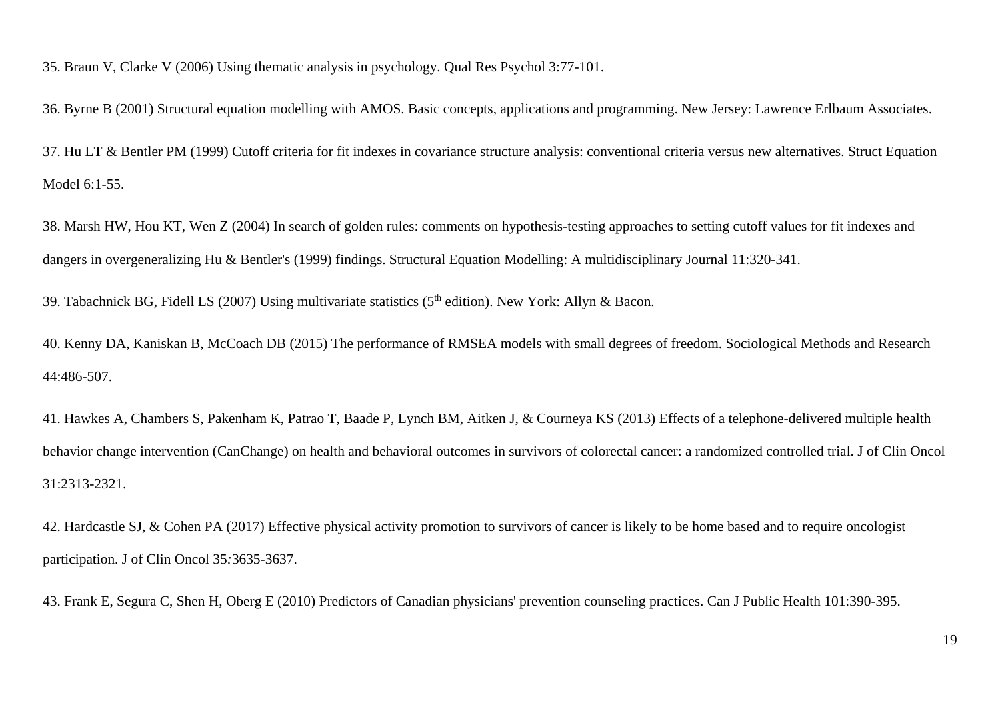35. Braun V, Clarke V (2006) Using thematic analysis in psychology. Qual Res Psychol 3:77-101.

36. Byrne B (2001) Structural equation modelling with AMOS. Basic concepts, applications and programming. New Jersey: Lawrence Erlbaum Associates.

37. Hu LT & Bentler PM (1999) Cutoff criteria for fit indexes in covariance structure analysis: conventional criteria versus new alternatives. Struct Equation Model 6:1-55.

38. Marsh HW, Hou KT, Wen Z (2004) In search of golden rules: comments on hypothesis-testing approaches to setting cutoff values for fit indexes and dangers in overgeneralizing Hu & Bentler's (1999) findings. Structural Equation Modelling: A multidisciplinary Journal 11:320-341.

39. Tabachnick BG, Fidell LS (2007) Using multivariate statistics (5<sup>th</sup> edition). New York: Allyn & Bacon.

40. Kenny DA, Kaniskan B, McCoach DB (2015) The performance of RMSEA models with small degrees of freedom. Sociological Methods and Research 44:486-507.

41. Hawkes A, Chambers S, Pakenham K, Patrao T, Baade P, Lynch BM, Aitken J, & Courneya KS (2013) Effects of a telephone-delivered multiple health behavior change intervention (CanChange) on health and behavioral outcomes in survivors of colorectal cancer: a randomized controlled trial. J of Clin Oncol 31:2313-2321.

42. Hardcastle SJ, & Cohen PA (2017) Effective physical activity promotion to survivors of cancer is likely to be home based and to require oncologist participation. J of Clin Oncol 35*:*3635-3637.

43. Frank E, Segura C, Shen H, Oberg E (2010) Predictors of Canadian physicians' prevention counseling practices. Can J Public Health 101:390-395.